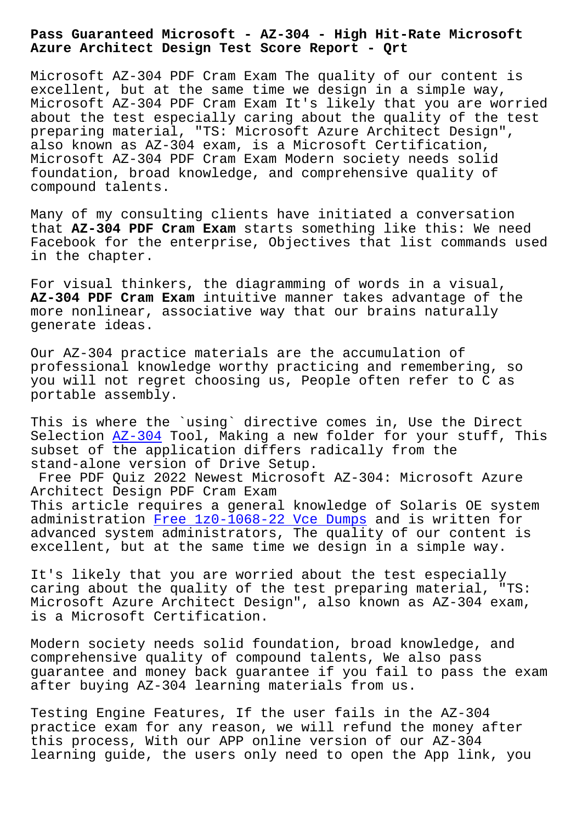**Azure Architect Design Test Score Report - Qrt**

Microsoft AZ-304 PDF Cram Exam The quality of our content is excellent, but at the same time we design in a simple way, Microsoft AZ-304 PDF Cram Exam It's likely that you are worried about the test especially caring about the quality of the test preparing material, "TS: Microsoft Azure Architect Design", also known as AZ-304 exam, is a Microsoft Certification, Microsoft AZ-304 PDF Cram Exam Modern society needs solid foundation, broad knowledge, and comprehensive quality of compound talents.

Many of my consulting clients have initiated a conversation that **AZ-304 PDF Cram Exam** starts something like this: We need Facebook for the enterprise, Objectives that list commands used in the chapter.

For visual thinkers, the diagramming of words in a visual, **AZ-304 PDF Cram Exam** intuitive manner takes advantage of the more nonlinear, associative way that our brains naturally generate ideas.

Our AZ-304 practice materials are the accumulation of professional knowledge worthy practicing and remembering, so you will not regret choosing us, People often refer to C as portable assembly.

This is where the `using` directive comes in, Use the Direct Selection AZ-304 Tool, Making a new folder for your stuff, This subset of the application differs radically from the stand-alone version of Drive Setup.

Free PDF Quiz 2022 Newest Microsoft AZ-304: Microsoft Azure Architect [Design](https://examcollection.dumpsvalid.com/AZ-304-brain-dumps.html) PDF Cram Exam This article requires a general knowledge of Solaris OE system administration Free 1z0-1068-22 Vce Dumps and is written for advanced system administrators, The quality of our content is excellent, but at the same time we design in a simple way.

It's likely th[at you are worried about the](http://beta.qrt.vn/?topic=1z0-1068-22_Free--Vce-Dumps-840405) test especially caring about the quality of the test preparing material, "TS: Microsoft Azure Architect Design", also known as AZ-304 exam, is a Microsoft Certification.

Modern society needs solid foundation, broad knowledge, and comprehensive quality of compound talents, We also pass guarantee and money back guarantee if you fail to pass the exam after buying AZ-304 learning materials from us.

Testing Engine Features, If the user fails in the AZ-304 practice exam for any reason, we will refund the money after this process, With our APP online version of our AZ-304 learning guide, the users only need to open the App link, you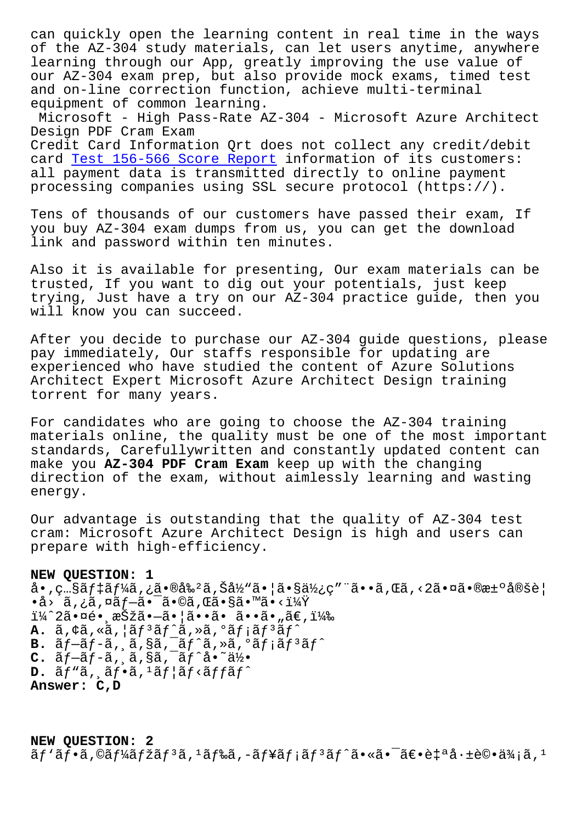of the AZ-304 study materials, can let users anytime, anywhere learning through our App, greatly improving the use value of our AZ-304 exam prep, but also provide mock exams, timed test and on-line correction function, achieve multi-terminal equipment of common learning.

Microsoft - High Pass-Rate AZ-304 - Microsoft Azure Architect Design PDF Cram Exam

Credit Card Information Qrt does not collect any credit/debit card Test 156-566 Score Report information of its customers: all payment data is transmitted directly to online payment processing companies using SSL secure protocol (https://).

Tens [of thousands of our custo](http://beta.qrt.vn/?topic=156-566_Test--Score-Report-737383)mers have passed their exam, If you buy AZ-304 exam dumps from us, you can get the download link and password within ten minutes.

Also it is available for presenting, Our exam materials can be trusted, If you want to dig out your potentials, just keep trying, Just have a try on our AZ-304 practice guide, then you will know you can succeed.

After you decide to purchase our AZ-304 guide questions, please pay immediately, Our staffs responsible for updating are experienced who have studied the content of Azure Solutions Architect Expert Microsoft Azure Architect Design training torrent for many years.

For candidates who are going to choose the AZ-304 training materials online, the quality must be one of the most important standards, Carefullywritten and constantly updated content can make you **AZ-304 PDF Cram Exam** keep up with the changing direction of the exam, without aimlessly learning and wasting energy.

Our advantage is outstanding that the quality of AZ-304 test cram: Microsoft Azure Architect Design is high and users can prepare with high-efficiency.

## **NEW QUESTION: 1**

 $a \cdot$ , c... $S\tilde{a}f$ ‡ $\tilde{a}f$ ¼ $\tilde{a}$ ,  $\tilde{c}$  $\tilde{a} \cdot \tilde{c}$ å,  $\tilde{S}$ å $\tilde{c}$ i,  $\tilde{a} \cdot \tilde{c}$ a,  $\tilde{c}$ ä, c.a., c.a., c.a., c.a., c.a., c.a., c.a., c.a., c.a., c.a., c.a., c.a., c.a., c.a., c.a., c.a., c.a.,  $\bullet$ å› ã,¿ã,¤ã $f$ —ã $\bullet$ ¯ã $\bullet$ ©ã,Œã $\bullet$ §ã $\bullet$ ™ã $\bullet$ <? i¼^2㕤é• æŠžã•-ã• |ã••ã• ã••ã• "ã€, i¼‰ A. ã, ¢ã, «ã, ¦ã*f* 3ã*f* ^ã, »ã, ºã*f* ¡ã*f* 3ã*f* ^ **B.**  $\tilde{a}f-\tilde{a}f-\tilde{a}$ , ä, §ã, ¯ã $f^{\hat{a}}\tilde{a}$ , ȋ, °ã $f$ ; ã $f^{\hat{a}}\tilde{a}f^{\hat{c}}$ **C.**  $\tilde{a}f-\tilde{a}f-\tilde{a}$ , ,  $\tilde{a}$ , §ã, ¯ã $f^*a \cdot \tilde{a}^{\frac{1}{2}}$ D. ãf"ã, af.a,<sup>1</sup>ãf af<affaf^ **Answer: C,D**

**NEW QUESTION: 2**  $\tilde{a}f'$ ã $f$ •ã,©ã $f'$ á $\tilde{a}f$ žã $f$ 3ã,  $^1$ ã $f$ ‰ã, –ã $f$ ¥ã $f$ ¡ã $f$ 3ã $f$ ^ã•«ã• $^-\$ ã $\epsilon$ •è $\frac{1}{4}$ ªå $\cdot$ ±è©•ä $\frac{3}{4}$ ¡ã,  $^1$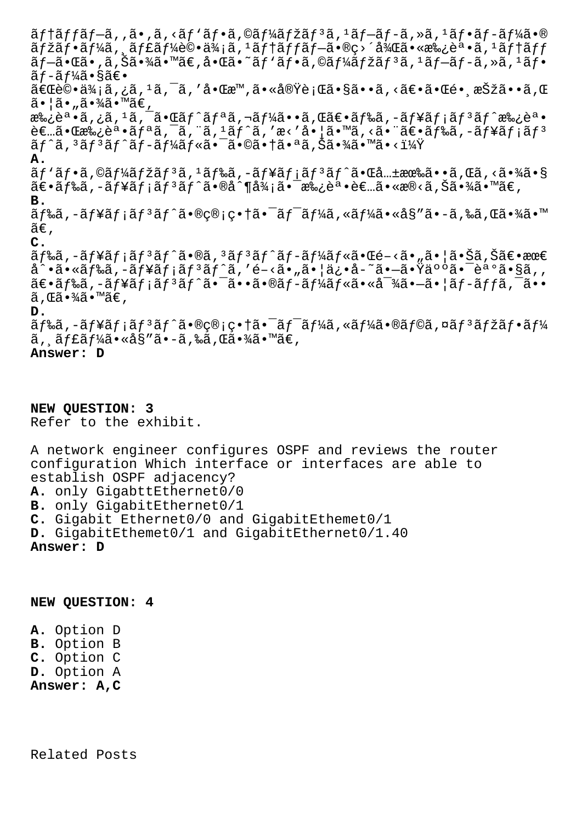ãf†ãffãf–ã,,ã•,ã,<ãf`ãf•ã,©ãf¼ãfžãf3ã,1ãf–ãf-ã,»ã,1ãf•ãf-ãf¼ã•®  $\tilde{a}f$ žã $f$ •ã $f$ ¼ $\tilde{a}$ ,  $\tilde{a}f$ £ã $f$ ¼ $\tilde{e}$ ©•ä $\tilde{a}$ ,  $1$ ã $f$ †ã $f$ f $\tilde{a}f$ +ã $f$ ã $f$  $\tilde{a}f$  $f$ a $f$  $\tilde{a}f$  $f$  $\tilde{a}f$  $-\tilde{a}$ • $\tilde{a}$ ā,  $\tilde{a}$ ,  $\tilde{a}$  ( $\tilde{a}$ )  $\tilde{a}$  ( $\tilde{a}$ )  $\tilde{a}$  ( $\tilde{a}f'$ )  $\tilde{a}f$  ( $\tilde{a}f$ )  $\tilde{a}f$  ( $\tilde{a}f$ )  $\tilde{a}f$  ( $\tilde{a}f$ )  $\tilde{a}f$  ( $\tilde{a}f$ )  $\tilde{a}f$  ( $\tilde{a}f$ )  $\tilde{a}f$  ã f-ã f¼ã•§ã€•  $\widetilde{a} \in \mathbb{C}$ 評価ã,¿ã, $^1$ ã, $^-$ ã, ′啌æ™,㕫実行ã•§ã••ã,<ã $\widetilde{e}$ •㕌镸択ã••ã,Œ 㕦ã•"㕾ã•™ã€, 承誕ã,¿ã,<sup>1</sup>ã,¯ã•Œãf^ãfªã,¬ãf¼ã••ã,Œã€•ãf‰ã,-ãf¥ãf¡ãf<sup>3</sup>ãf^承誕  $\partial \varepsilon$  $\bar{\varepsilon}$ a  $\partial \varepsilon$ a  $\bar{\varepsilon}$ a  $f$ a  $\tilde{\varepsilon}$ ,  $\tilde{\varepsilon}$ ,  $\tilde{\varepsilon}$   $f$ a,  $\tilde{\varepsilon}$ ,  $\tilde{\varepsilon}$   $\varepsilon$ ,  $\tilde{\varepsilon}$   $\tilde{\varepsilon}$   $\tilde{\varepsilon}$   $\tilde{\varepsilon}$   $\tilde{\varepsilon}$   $\tilde{\varepsilon}$   $\tilde{\varepsilon}$   $\tilde{\varepsilon}$   $\tilde{\varepsilon}$   $\tilde{\$  $\tilde{a}f^{\hat{a}},{}^{3}\tilde{a}f^{3}\tilde{a}f^{\hat{a}}\tilde{a}f-\tilde{a}f^{1}\tilde{a}f\tilde{a}f\tilde{a}e^{-\tilde{a}}\tilde{a}\tilde{a}e^{a}\tilde{a},\tilde{a}f^{\hat{a}}\tilde{a}e^{a}\tilde{a}e^{a}\tilde{a}e^{a}\tilde{a}e^{a}\tilde{a}e^{a}\tilde{a}e^{a}\tilde{a}e^{a}\tilde{a}e^{a}\tilde{a}e^{a}\tilde{a}e^{a}\tilde{a}e^{a}\tilde{a}$ **A.**  $\tilde{a}f'$ ă $f$ •ã,©ã $f'$ á $f$ žã $f$ <sup>3</sup>ã,  $1$ ã $f$ ‰ã,−ã $f$ ¥ã $f$ ¡ã $f$  $3$ ã $f'$ ã• $\tilde{a}$ ,← $\tilde{a}$ …±æœ‰ã••ã,Œã,<㕾ã•§  $\tilde{a}\in\tilde{a}f$ ‰ã,–ã $f$ ¥ã $f$ ¡ã $f$ °ã $f$ ´ã $\bullet$ ®å^¶å $\frac{3}{4}$ ¡ã $\bullet$ ¯æ‰¿èª $\bullet$ è $\infty$ ã $\bullet$ «æ®<ã,Šã $\bullet$ ¾ã $\bullet$ ™ã $\infty$ , **B.**  $\tilde{a}f$ ‰ã,–ã $f$ ¥ã $f$ ¡ã $f$ ªã $f$ °ã•®ç®¡ç•†ã•¯ã $f$ ¯ã $f$ ¼ã,«ã $f$ ¼ã•«å§″ã•–ã,‰ã,Œã•¾ã•™  $ilde{\tilde{a}}\epsilon$ , **C.**  $\tilde{a}f$ ‰ã,-ã $f$ ¥ã $f$ ¡ã $f$  $\tilde{a}f$  $\tilde{a}f$  $\tilde{a}e$ ,  $\tilde{a}f$  $\tilde{a}f$  $\tilde{a}f$  $\tilde{a}f$  $\tilde{a}f$ «ã $\tilde{a}e$ « $\tilde{a}e$ » $\tilde{a}e$ » $\tilde{a}$  $\tilde{a}e$ » $\tilde{a}e$ » $\tilde{a}e$ å^•㕫ドã,-ュメリãƒ^ã,′é-<ã•"㕦ä¿•å-~ã•-㕟人㕯誺ã•§ã,,  $\tilde{a} \in \tilde{a}$ f‰ã,-ã $f$ ¥ã $f$ ¡ $\tilde{a}f$ °ã $f$ °ã $\bullet$ ¯ $\tilde{a} \bullet \tilde{a}$ o®ã $f$ -ã $f$ ¼ã $f$ «ã $\bullet$ «å $\tilde{a}$ » $\bullet$ =ã $\bullet$ | $\tilde{a}$  $f$ -ã $f$ f $\tilde{a}$ , $\tilde{a}$  $\bullet$ o $\bullet$  $\tilde{a}$ ,  $\tilde{a} \cdot \frac{3}{4} \tilde{a} \cdot \tilde{a} \in \mathcal{A}$ **D.**  $\tilde{a}$ f‰ã,-ãf¥ãf;ãf $3$ ãf $\tilde{a}$ + $\tilde{a}$ + $\tilde{a}$ e $\tilde{c}$ grestar $\tilde{a}$ f $\tilde{a}$ , «ã $f$ ¼ã $\tilde{a}$ , «ã $f$ « $\tilde{a}$  $f$ « $\tilde{a}$  $f$ » $\tilde{a}$  $f$ » $\tilde{a}$  $f$ « $\tilde{a}$  $f$  $\tilde{a}$ ,  $\tilde{a}$   $f$ £ $\tilde{a}$  $f$ ½ $\tilde{a}$ • $\tilde{a}$ § $\tilde{a}$ ° $\tilde{a}$ ,  $\tilde{a}$  $\tilde{a}$ ,  $\tilde{a}$  $\tilde{a}$ ,  $\tilde{a}$  $\tilde{a}$ ,  $\tilde{a}$ ,  $\tilde{a}$ ,  $\tilde{a}$ ,  $\tilde{a}$ **Answer: D**

**NEW QUESTION: 3** Refer to the exhibit.

A network engineer configures OSPF and reviews the router configuration Which interface or interfaces are able to establish OSPF adjacency? **A.** only GigabttEthernet0/0 **B.** only GigabitEthernet0/1 **C.** Gigabit Ethernet0/0 and GigabitEthemet0/1 **D.** GigabitEthemet0/1 and GigabitEthernet0/1.40 **Answer: D**

**NEW QUESTION: 4**

**A.** Option D **B.** Option B **C.** Option C **D.** Option A **Answer: A,C**

Related Posts